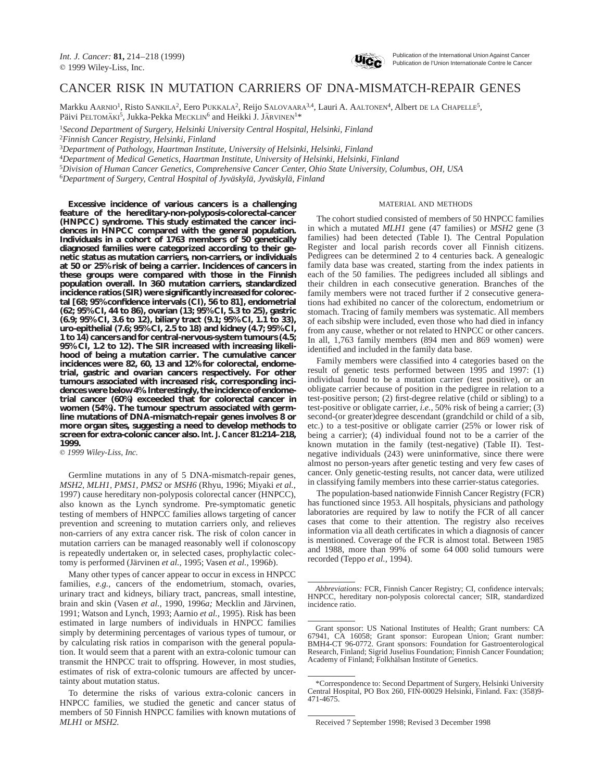

# CANCER RISK IN MUTATION CARRIERS OF DNA-MISMATCH-REPAIR GENES

Markku AARNIO<sup>1</sup>, Risto SANKILA<sup>2</sup>, Eero PUKKALA<sup>2</sup>, Reijo SALOVAARA<sup>3,4</sup>, Lauri A. AALTONEN<sup>4</sup>, Albert DE LA CHAPELLE<sup>5</sup>, Päivi PELTOMÄKI<sup>5</sup>, Jukka-Pekka MECKLIN<sup>6</sup> and Heikki J. JÄRVINEN<sup>1\*</sup>

<sup>1</sup>*Second Department of Surgery, Helsinki University Central Hospital, Helsinki, Finland*

<sup>2</sup>*Finnish Cancer Registry, Helsinki, Finland*

<sup>3</sup>*Department of Pathology, Haartman Institute, University of Helsinki, Helsinki, Finland*

<sup>4</sup>*Department of Medical Genetics, Haartman Institute, University of Helsinki, Helsinki, Finland*

<sup>5</sup>*Division of Human Cancer Genetics, Comprehensive Cancer Center, Ohio State University, Columbus, OH, USA*

<sup>6</sup>Department of Surgery, Central Hospital of Jyväskylä, Jyväskylä, Finland

**Excessive incidence of various cancers is a challenging feature of the hereditary-non-polyposis-colorectal-cancer (HNPCC) syndrome. This study estimated the cancer incidences in HNPCC compared with the general population. Individuals in a cohort of 1763 members of 50 genetically diagnosed families were categorized according to their genetic status as mutation carriers, non-carriers, or individuals at 50 or 25% risk of being a carrier. Incidences of cancers in these groups were compared with those in the Finnish population overall. In 360 mutation carriers, standardized incidence ratios (SIR) were significantly increased for colorectal [68; 95% confidence intervals (CI), 56 to 81], endometrial (62; 95% CI, 44 to 86), ovarian (13; 95% CI, 5.3 to 25), gastric (6.9; 95% CI, 3.6 to 12), biliary tract (9.1; 95% CI, 1.1 to 33), uro-epithelial (7.6; 95% CI, 2.5 to 18) and kidney (4.7; 95% CI, 1 to 14) cancers and for central-nervous-system tumours (4.5; 95% CI, 1.2 to 12). The SIR increased with increasing likelihood of being a mutation carrier. The cumulative cancer incidences were 82, 60, 13 and 12% for colorectal, endometrial, gastric and ovarian cancers respectively. For other tumours associated with increased risk, corresponding incidences were below 4%. Interestingly, the incidence of endometrial cancer (60%) exceeded that for colorectal cancer in women (54%). The tumour spectrum associated with germline mutations of DNA-mismatch-repair genes involves 8 or more organ sites, suggesting a need to develop methods to screen for extra-colonic cancer also.** *Int. J. Cancer* **81:214–218, 1999.**

 $O$  1999 Wiley-Liss, Inc.

Germline mutations in any of 5 DNA-mismatch-repair genes, *MSH2, MLH1, PMS1, PMS2* or *MSH6* (Rhyu, 1996; Miyaki *et al.,* 1997) cause hereditary non-polyposis colorectal cancer (HNPCC), also known as the Lynch syndrome. Pre-symptomatic genetic testing of members of HNPCC families allows targeting of cancer prevention and screening to mutation carriers only, and relieves non-carriers of any extra cancer risk. The risk of colon cancer in mutation carriers can be managed reasonably well if colonoscopy is repeatedly undertaken or, in selected cases, prophylactic colectomy is performed (Järvinen et al., 1995; Vasen et al., 1996b).

Many other types of cancer appear to occur in excess in HNPCC families, *e.g.,* cancers of the endometrium, stomach, ovaries, urinary tract and kidneys, biliary tract, pancreas, small intestine, brain and skin (Vasen et al., 1990, 1996a; Mecklin and Järvinen, 1991; Watson and Lynch, 1993; Aarnio *et al.,* 1995). Risk has been estimated in large numbers of individuals in HNPCC families simply by determining percentages of various types of tumour, or by calculating risk ratios in comparison with the general population. It would seem that a parent with an extra-colonic tumour can transmit the HNPCC trait to offspring. However, in most studies, estimates of risk of extra-colonic tumours are affected by uncertainty about mutation status.

### MATERIAL AND METHODS

The cohort studied consisted of members of 50 HNPCC families in which a mutated *MLH1* gene (47 families) or *MSH2* gene (3 families) had been detected (Table I). The Central Population Register and local parish records cover all Finnish citizens. Pedigrees can be determined 2 to 4 centuries back. A genealogic family data base was created, starting from the index patients in each of the 50 families. The pedigrees included all siblings and their children in each consecutive generation. Branches of the family members were not traced further if 2 consecutive generations had exhibited no cancer of the colorectum, endometrium or stomach. Tracing of family members was systematic. All members of each sibship were included, even those who had died in infancy from any cause, whether or not related to HNPCC or other cancers. In all, 1,763 family members (894 men and 869 women) were identified and included in the family data base.

Family members were classified into 4 categories based on the result of genetic tests performed between 1995 and 1997: (1) individual found to be a mutation carrier (test positive), or an obligate carrier because of position in the pedigree in relation to a test-positive person; (2) first-degree relative (child or sibling) to a test-positive or obligate carrier, *i.e.,* 50% risk of being a carrier; (3) second-(or greater)degree descendant (grandchild or child of a sib, etc.) to a test-positive or obligate carrier (25% or lower risk of being a carrier); (4) individual found not to be a carrier of the known mutation in the family (test-negative) (Table II). Testnegative individuals (243) were uninformative, since there were almost no person-years after genetic testing and very few cases of cancer. Only genetic-testing results, not cancer data, were utilized in classifying family members into these carrier-status categories.

The population-based nationwide Finnish Cancer Registry (FCR) has functioned since 1953. All hospitals, physicians and pathology laboratories are required by law to notify the FCR of all cancer cases that come to their attention. The registry also receives information via all death certificates in which a diagnosis of cancer is mentioned. Coverage of the FCR is almost total. Between 1985 and 1988, more than 99% of some 64 000 solid tumours were recorded (Teppo *et al.,* 1994).

To determine the risks of various extra-colonic cancers in HNPCC families, we studied the genetic and cancer status of members of 50 Finnish HNPCC families with known mutations of *MLH1* or *MSH2.*

*Abbreviations:* FCR, Finnish Cancer Registry; CI, confidence intervals; HNPCC, hereditary non-polyposis colorectal cancer; SIR, standardized incidence ratio.

Grant sponsor: US National Institutes of Health; Grant numbers: CA 67941, CA 16058; Grant sponsor: European Union; Grant number: BMH4-CT 96-0772. Grant sponsors: Foundation for Gastroenterological Research, Finland; Sigrid Juselius Foundation; Finnish Cancer Foundation; Academy of Finland; Folkhälsan Institute of Genetics.

<sup>\*</sup>Correspondence to: Second Department of Surgery, Helsinki University Central Hospital, PO Box 260, FIN-00029 Helsinki, Finland. Fax: (358)9- 471-4675.

Received 7 September 1998; Revised 3 December 1998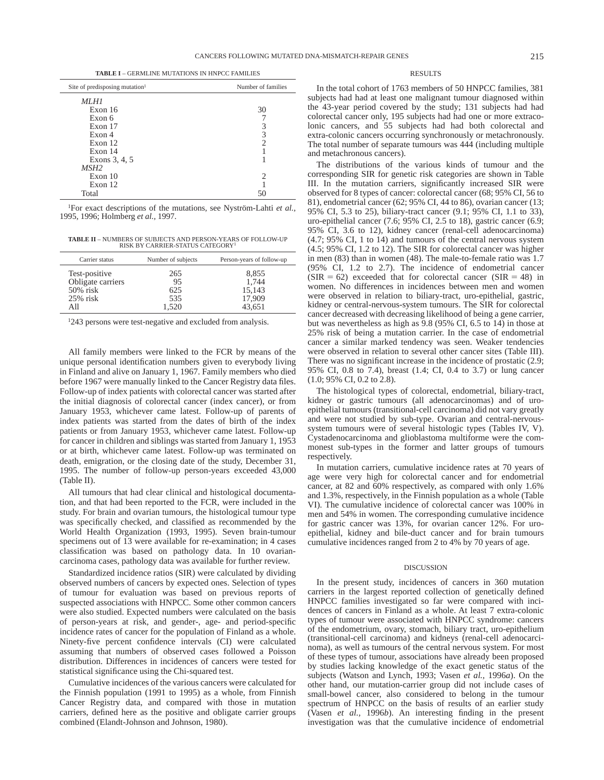**TABLE I** – GERMLINE MUTATIONS IN HNPCC FAMILIES

| Site of predisposing mutation $1$ | Number of families |
|-----------------------------------|--------------------|
| MLH1                              |                    |
| Exon $16$                         | 30                 |
| Exon 6                            |                    |
| Exon 17                           | 3                  |
| Exon 4                            | 3                  |
| Exon 12                           | 2                  |
| Exon 14                           |                    |
| Exons 3, 4, 5                     |                    |
| MSH <sub>2</sub>                  |                    |
| Exon 10                           | 2                  |
| Exon 12                           |                    |
| Total                             | 50                 |

<sup>1</sup>For exact descriptions of the mutations, see Nyström-Lahti *et al.*, 1995, 1996; Holmberg *et al.,* 1997.

**TABLE II** – NUMBERS OF SUBJECTS AND PERSON-YEARS OF FOLLOW-UP RISK BY CARRIER-STATUS CATEGORY1

| Carrier status    | Number of subjects | Person-years of follow-up |
|-------------------|--------------------|---------------------------|
| Test-positive     | 265                | 8,855                     |
| Obligate carriers | 95                 | 1.744                     |
| $50\%$ risk       | 625                | 15,143                    |
| $25\%$ risk       | 535                | 17.909                    |
| A11               | 1.520              | 43.651                    |

1243 persons were test-negative and excluded from analysis.

All family members were linked to the FCR by means of the unique personal identification numbers given to everybody living in Finland and alive on January 1, 1967. Family members who died before 1967 were manually linked to the Cancer Registry data files. Follow-up of index patients with colorectal cancer was started after the initial diagnosis of colorectal cancer (index cancer), or from January 1953, whichever came latest. Follow-up of parents of index patients was started from the dates of birth of the index patients or from January 1953, whichever came latest. Follow-up for cancer in children and siblings was started from January 1, 1953 or at birth, whichever came latest. Follow-up was terminated on death, emigration, or the closing date of the study, December 31, 1995. The number of follow-up person-years exceeded 43,000 (Table II).

All tumours that had clear clinical and histological documentation, and that had been reported to the FCR, were included in the study. For brain and ovarian tumours, the histological tumour type was specifically checked, and classified as recommended by the World Health Organization (1993, 1995). Seven brain-tumour specimens out of 13 were available for re-examination; in 4 cases classification was based on pathology data. In 10 ovariancarcinoma cases, pathology data was available for further review.

Standardized incidence ratios (SIR) were calculated by dividing observed numbers of cancers by expected ones. Selection of types of tumour for evaluation was based on previous reports of suspected associations with HNPCC. Some other common cancers were also studied. Expected numbers were calculated on the basis of person-years at risk, and gender-, age- and period-specific incidence rates of cancer for the population of Finland as a whole. Ninety-five percent confidence intervals (CI) were calculated assuming that numbers of observed cases followed a Poisson distribution. Differences in incidences of cancers were tested for statistical significance using the Chi-squared test.

Cumulative incidences of the various cancers were calculated for the Finnish population (1991 to 1995) as a whole, from Finnish Cancer Registry data, and compared with those in mutation carriers, defined here as the positive and obligate carrier groups combined (Elandt-Johnson and Johnson, 1980).

### **RESULTS**

In the total cohort of 1763 members of 50 HNPCC families, 381 subjects had had at least one malignant tumour diagnosed within the 43-year period covered by the study; 131 subjects had had colorectal cancer only, 195 subjects had had one or more extracolonic cancers, and 55 subjects had had both colorectal and extra-colonic cancers occurring synchronously or metachronously. The total number of separate tumours was 444 (including multiple and metachronous cancers).

The distributions of the various kinds of tumour and the corresponding SIR for genetic risk categories are shown in Table III. In the mutation carriers, significantly increased SIR were observed for 8 types of cancer: colorectal cancer (68; 95% CI, 56 to 81), endometrial cancer (62; 95% CI, 44 to 86), ovarian cancer (13; 95% CI, 5.3 to 25), biliary-tract cancer (9.1; 95% CI, 1.1 to 33), uro-epithelial cancer (7.6; 95% CI, 2.5 to 18), gastric cancer (6.9; 95% CI, 3.6 to 12), kidney cancer (renal-cell adenocarcinoma) (4.7; 95% CI, 1 to 14) and tumours of the central nervous system (4.5; 95% CI, 1.2 to 12). The SIR for colorectal cancer was higher in men (83) than in women (48). The male-to-female ratio was 1.7 (95% CI, 1.2 to 2.7). The incidence of endometrial cancer  $(SIR = 62)$  exceeded that for colorectal cancer  $(SIR = 48)$  in women. No differences in incidences between men and women were observed in relation to biliary-tract, uro-epithelial, gastric, kidney or central-nervous-system tumours. The SIR for colorectal cancer decreased with decreasing likelihood of being a gene carrier, but was nevertheless as high as 9.8 (95% CI, 6.5 to 14) in those at 25% risk of being a mutation carrier. In the case of endometrial cancer a similar marked tendency was seen. Weaker tendencies were observed in relation to several other cancer sites (Table III). There was no significant increase in the incidence of prostatic  $(2.9)$ ; 95% CI, 0.8 to 7.4), breast (1.4; CI, 0.4 to 3.7) or lung cancer (1.0; 95% CI, 0.2 to 2.8).

The histological types of colorectal, endometrial, biliary-tract, kidney or gastric tumours (all adenocarcinomas) and of uroepithelial tumours (transitional-cell carcinoma) did not vary greatly and were not studied by sub-type. Ovarian and central-nervoussystem tumours were of several histologic types (Tables IV, V). Cystadenocarcinoma and glioblastoma multiforme were the commonest sub-types in the former and latter groups of tumours respectively.

In mutation carriers, cumulative incidence rates at 70 years of age were very high for colorectal cancer and for endometrial cancer, at 82 and 60% respectively, as compared with only 1.6% and 1.3%, respectively, in the Finnish population as a whole (Table VI). The cumulative incidence of colorectal cancer was 100% in men and 54% in women. The corresponding cumulative incidence for gastric cancer was 13%, for ovarian cancer 12%. For uroepithelial, kidney and bile-duct cancer and for brain tumours cumulative incidences ranged from 2 to 4% by 70 years of age.

#### DISCUSSION

In the present study, incidences of cancers in 360 mutation carriers in the largest reported collection of genetically defined HNPCC families investigated so far were compared with incidences of cancers in Finland as a whole. At least 7 extra-colonic types of tumour were associated with HNPCC syndrome: cancers of the endometrium, ovary, stomach, biliary tract, uro-epithelium (transitional-cell carcinoma) and kidneys (renal-cell adenocarcinoma), as well as tumours of the central nervous system. For most of these types of tumour, associations have already been proposed by studies lacking knowledge of the exact genetic status of the subjects (Watson and Lynch, 1993; Vasen *et al.,* 1996*a*). On the other hand, our mutation-carrier group did not include cases of small-bowel cancer, also considered to belong in the tumour spectrum of HNPCC on the basis of results of an earlier study (Vasen *et al.,* 1996*b*). An interesting finding in the present investigation was that the cumulative incidence of endometrial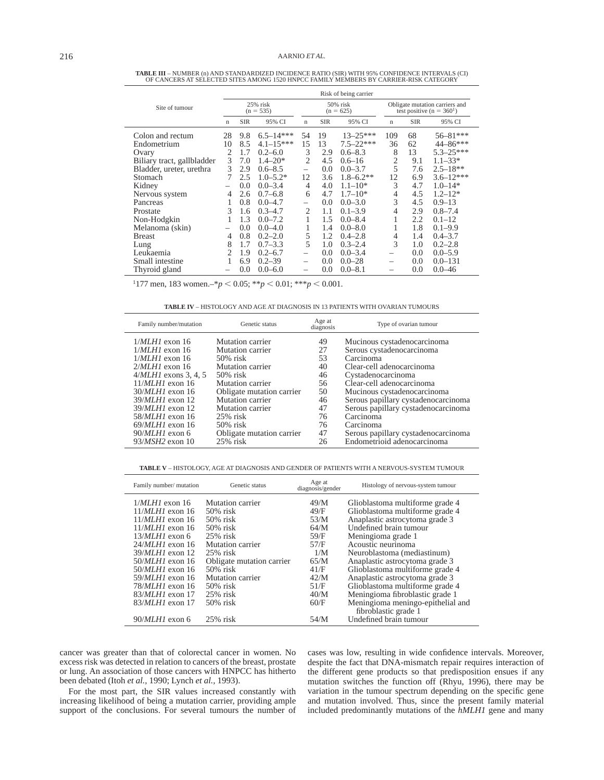|                            | Risk of being carrier     |            |                            |                          |            |                                                                |             |            |               |
|----------------------------|---------------------------|------------|----------------------------|--------------------------|------------|----------------------------------------------------------------|-------------|------------|---------------|
| Site of tumour             | $25%$ risk<br>$(n = 535)$ |            | $50\%$ risk<br>$(n = 625)$ |                          |            | Obligate mutation carriers and<br>test positive ( $n = 3601$ ) |             |            |               |
|                            | $\mathbf n$               | <b>SIR</b> | 95% CI                     | $\mathbf n$              | <b>SIR</b> | 95% CI                                                         | $\mathbf n$ | <b>SIR</b> | 95% CI        |
| Colon and rectum           | 28                        | 9.8        | $6.5 - 14***$              | 54                       | 19         | $13 - 25***$                                                   | 109         | 68         | $56 - 81***$  |
| Endometrium                | 10                        | 8.5        | $4.1 - 15***$              | 15                       | 13         | $7.5 - 22***$                                                  | 36          | 62         | 44-86***      |
| Ovary                      | 2                         | 1.7        | $0.2 - 6.0$                | 3                        | 2.9        | $0.6 - 8.3$                                                    | 8           | 13         | $5.3 - 25***$ |
| Biliary tract, gallbladder | 3                         | 7.0        | $1.4 - 20*$                | 2                        | 4.5        | $0.6 - 16$                                                     | 2           | 9.1        | $1.1 - 33*$   |
| Bladder, ureter, urethra   | 3                         | 2.9        | $0.6 - 8.5$                | $\overline{\phantom{0}}$ | 0.0        | $0.0 - 3.7$                                                    | 5           | 7.6        | $2.5 - 18**$  |
| Stomach                    |                           | 2.5        | $1.0 - 5.2*$               | 12                       | 3.6        | $1.8 - 6.2**$                                                  | 12          | 6.9        | $3.6 - 12***$ |
| Kidney                     | $\overline{\phantom{0}}$  | 0.0        | $0.0 - 3.4$                | 4                        | 4.0        | $1.1 - 10*$                                                    | 3           | 4.7        | $1.0 - 14*$   |
| Nervous system             | 4                         | 2.6        | $0.7 - 6.8$                | 6                        | 4.7        | $1.7 - 10*$                                                    | 4           | 4.5        | $1.2 - 12*$   |
| Pancreas                   |                           | 0.8        | $0.0 - 4.7$                | $\overline{\phantom{0}}$ | 0.0        | $0.0 - 3.0$                                                    | 3           | 4.5        | $0.9 - 13$    |
| Prostate                   | 3                         | 1.6        | $0.3 - 4.7$                | 2                        | 1.1        | $0.1 - 3.9$                                                    | 4           | 2.9        | $0.8 - 7.4$   |
| Non-Hodgkin                |                           | 1.3        | $0.0 - 7.2$                | 1                        | 1.5        | $0.0 - 8.4$                                                    |             | 2.2        | $0.1 - 12$    |
| Melanoma (skin)            |                           | 0.0        | $0.0 - 4.0$                |                          | 1.4        | $0.0 - 8.0$                                                    |             | 1.8        | $0.1 - 9.9$   |
| <b>Breast</b>              | 4                         | 0.8        | $0.2 - 2.0$                | 5                        | 1.2        | $0.4 - 2.8$                                                    | 4           | 1.4        | $0.4 - 3.7$   |
| Lung                       | 8                         | 1.7        | $0.7 - 3.3$                | 5                        | 1.0        | $0.3 - 2.4$                                                    | 3           | 1.0        | $0.2 - 2.8$   |
| Leukaemia                  | 2                         | 1.9        | $0.2 - 6.7$                | $\overline{\phantom{0}}$ | 0.0        | $0.0 - 3.4$                                                    | -           | 0.0        | $0.0 - 5.9$   |
| Small intestine            |                           | 6.9        | $0.2 - 39$                 | $\overline{\phantom{0}}$ | 0.0        | $0.0 - 28$                                                     | -           | 0.0        | $0.0 - 131$   |
| Thyroid gland              |                           | 0.0        | $0.0 - 6.0$                | $\overline{\phantom{0}}$ | 0.0        | $0.0 - 8.1$                                                    |             | 0.0        | $0.0 - 46$    |

**TABLE III** – NUMBER (n) AND STANDARDIZED INCIDENCE RATIO (SIR) WITH 95% CONFIDENCE INTERVALS (CI) OF CANCERS AT SELECTED SITES AMONG 1520 HNPCC FAMILY MEMBERS BY CARRIER-RISK CATEGORY

<sup>1</sup>177 men, 183 women.–\* $p < 0.05$ ; \*\* $p < 0.01$ ; \*\*\* $p < 0.001$ .

**TABLE IV** – HISTOLOGY AND AGE AT DIAGNOSIS IN 13 PATIENTS WITH OVARIAN TUMOURS

| Family number/mutation | Genetic status            | Age at<br>diagnosis | Type of ovarian tumour              |
|------------------------|---------------------------|---------------------|-------------------------------------|
| $1/MLHI$ exon 16       | Mutation carrier          | 49                  | Mucinous cystadenocarcinoma         |
| $1/MLHI$ exon 16       | Mutation carrier          | 27                  | Serous cystadenocarcinoma           |
| $1/MLHI$ exon 16       | $50\%$ risk               | 53                  | Carcinoma                           |
| $2/MLHI$ exon 16       | Mutation carrier          | 40                  | Clear-cell adenocarcinoma           |
| $4/MLHI$ exons 3, 4, 5 | $50\%$ risk               | 46                  | Cystadenocarcinoma                  |
| $11/MLHI$ exon 16      | <b>Mutation carrier</b>   | 56                  | Clear-cell adenocarcinoma           |
| $30/MLHI$ exon 16      | Obligate mutation carrier | 50                  | Mucinous cystadenocarcinoma         |
| $39/MLHI$ exon 12      | Mutation carrier          | 46                  | Serous papillary cystadenocarcinoma |
| $39/MLHI$ exon 12      | Mutation carrier          | 47                  | Serous papillary cystadenocarcinoma |
| $58/MLHI$ exon 16      | $25%$ risk                | 76                  | Carcinoma                           |
| $69/MLHI$ exon 16      | $50\%$ risk               | 76                  | Carcinoma                           |
| $90/MLHI$ exon 6       | Obligate mutation carrier | 47                  | Serous papillary cystadenocarcinoma |
| $93/MSH2$ exon 10      | $25%$ risk                | 26                  | Endometrioid adenocarcinoma         |

**TABLE V** – HISTOLOGY, AGE AT DIAGNOSIS AND GENDER OF PATIENTS WITH A NERVOUS-SYSTEM TUMOUR

| Family number/mutation | Genetic status            | Age at<br>diagnosis/gender | Histology of nervous-system tumour                        |
|------------------------|---------------------------|----------------------------|-----------------------------------------------------------|
| $1/MLHI$ exon 16       | Mutation carrier          | 49/M                       | Glioblastoma multiforme grade 4                           |
| $11/MLHI$ exon 16      | $50\%$ risk               | 49/F                       | Glioblastoma multiforme grade 4                           |
| $11/MLHI$ exon 16      | $50\%$ risk               | 53/M                       | Anaplastic astrocytoma grade 3                            |
| $11/MLHI$ exon 16      | $50\%$ risk               | 64/M                       | Undefined brain tumour                                    |
| $13/MLHI$ exon 6       | $25%$ risk                | 59/F                       | Meningioma grade 1                                        |
| $24/MLHI$ exon 16      | Mutation carrier          | 57/F                       | Acoustic neurinoma                                        |
| $39/MLHI$ exon 12      | $25%$ risk                | 1/M                        | Neuroblastoma (mediastinum)                               |
| $50/MLHI$ exon 16      | Obligate mutation carrier | 65/M                       | Anaplastic astrocytoma grade 3                            |
| $50/MLHI$ exon 16      | $50\%$ risk               | 41/F                       | Glioblastoma multiforme grade 4                           |
| $59/MLHI$ exon 16      | <b>Mutation carrier</b>   | 42/M                       | Anaplastic astrocytoma grade 3                            |
| $78/MLHI$ exon 16      | $50\%$ risk               | 51/F                       | Glioblastoma multiforme grade 4                           |
| $83/MLHI$ exon 17      | $25\%$ risk               | 40/M                       | Meningioma fibroblastic grade 1                           |
| $83/MLHI$ exon 17      | $50\%$ risk               | 60/F                       | Meningioma meningo-epithelial and<br>fibroblastic grade 1 |
| $90/MLHI$ exon 6       | 25% risk                  | 54/M                       | Undefined brain tumour                                    |

cancer was greater than that of colorectal cancer in women. No excess risk was detected in relation to cancers of the breast, prostate or lung. An association of those cancers with HNPCC has hitherto been debated (Itoh *et al.,* 1990; Lynch *et al.,* 1993).

For the most part, the SIR values increased constantly with increasing likelihood of being a mutation carrier, providing ample support of the conclusions. For several tumours the number of

cases was low, resulting in wide confidence intervals. Moreover, despite the fact that DNA-mismatch repair requires interaction of the different gene products so that predisposition ensues if any mutation switches the function off (Rhyu, 1996), there may be variation in the tumour spectrum depending on the specific gene and mutation involved. Thus, since the present family material included predominantly mutations of the *hMLH1* gene and many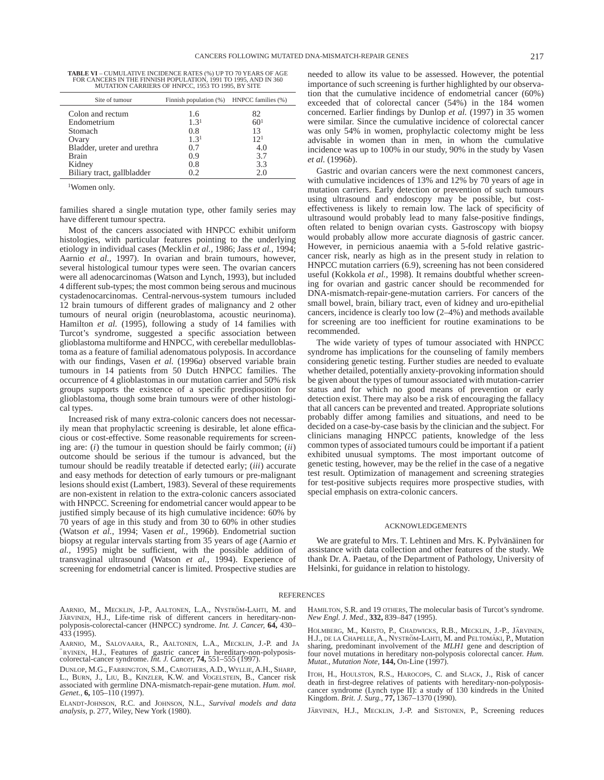**TABLE VI** – CUMULATIVE INCIDENCE RATES (%) UP TO 70 YEARS OF AGE FOR CANCERS IN THE FINNISH POPULATION, 1991 TO 1995, AND IN 360 MUTATION CARRIERS OF HNPCC, 1953 TO 1995, BY SITE

| Site of tumour              | Finnish population (%) | HNPCC families (%) |
|-----------------------------|------------------------|--------------------|
| Colon and rectum            | 1.6                    | 82                 |
| Endometrium                 | 1.3 <sup>1</sup>       | 60 <sup>1</sup>    |
| Stomach                     | 0.8                    | 13                 |
| Ovary                       | 1.3 <sup>1</sup>       | 12 <sup>1</sup>    |
| Bladder, ureter and urethra | 0.7                    | 4.0                |
| <b>Brain</b>                | 0.9                    | 3.7                |
| Kidney                      | 0.8                    | 3.3                |
| Biliary tract, gallbladder  | 02                     | 20                 |

1Women only.

families shared a single mutation type, other family series may have different tumour spectra.

Most of the cancers associated with HNPCC exhibit uniform histologies, with particular features pointing to the underlying etiology in individual cases (Mecklin *et al.,* 1986; Jass *et al.,* 1994; Aarnio *et al.,* 1997). In ovarian and brain tumours, however, several histological tumour types were seen. The ovarian cancers were all adenocarcinomas (Watson and Lynch, 1993), but included 4 different sub-types; the most common being serous and mucinous cystadenocarcinomas. Central-nervous-system tumours included 12 brain tumours of different grades of malignancy and 2 other tumours of neural origin (neuroblastoma, acoustic neurinoma). Hamilton *et al.* (1995), following a study of 14 families with Turcot's syndrome, suggested a specific association between glioblastoma multiforme and HNPCC, with cerebellar medulloblastoma as a feature of familial adenomatous polyposis. In accordance with our findings, Vasen *et al.* (1996*a*) observed variable brain tumours in 14 patients from 50 Dutch HNPCC families. The occurrence of 4 glioblastomas in our mutation carrier and 50% risk groups supports the existence of a specific predisposition for glioblastoma, though some brain tumours were of other histological types.

Increased risk of many extra-colonic cancers does not necessarily mean that prophylactic screening is desirable, let alone efficacious or cost-effective. Some reasonable requirements for screening are: (*i*) the tumour in question should be fairly common; (*ii*) outcome should be serious if the tumour is advanced, but the tumour should be readily treatable if detected early; (*iii*) accurate and easy methods for detection of early tumours or pre-malignant lesions should exist (Lambert, 1983). Several of these requirements are non-existent in relation to the extra-colonic cancers associated with HNPCC. Screening for endometrial cancer would appear to be justified simply because of its high cumulative incidence: 60% by 70 years of age in this study and from 30 to 60% in other studies (Watson *et al.,* 1994; Vasen *et al.,* 1996*b*). Endometrial suction biopsy at regular intervals starting from 35 years of age (Aarnio *et al.,* 1995) might be sufficient, with the possible addition of transvaginal ultrasound (Watson *et al.*, 1994). Experience of screening for endometrial cancer is limited. Prospective studies are

needed to allow its value to be assessed. However, the potential importance of such screening is further highlighted by our observation that the cumulative incidence of endometrial cancer (60%) exceeded that of colorectal cancer (54%) in the 184 women concerned. Earlier findings by Dunlop *et al.* (1997) in 35 women were similar. Since the cumulative incidence of colorectal cancer was only 54% in women, prophylactic colectomy might be less advisable in women than in men, in whom the cumulative incidence was up to 100% in our study, 90% in the study by Vasen *et al.* (1996*b*).

Gastric and ovarian cancers were the next commonest cancers, with cumulative incidences of 13% and 12% by 70 years of age in mutation carriers. Early detection or prevention of such tumours using ultrasound and endoscopy may be possible, but costeffectiveness is likely to remain low. The lack of specificity of ultrasound would probably lead to many false-positive findings, often related to benign ovarian cysts. Gastroscopy with biopsy would probably allow more accurate diagnosis of gastric cancer. However, in pernicious anaemia with a 5-fold relative gastriccancer risk, nearly as high as in the present study in relation to HNPCC mutation carriers (6.9), screening has not been considered useful (Kokkola *et al.,* 1998). It remains doubtful whether screening for ovarian and gastric cancer should be recommended for DNA-mismatch-repair-gene-mutation carriers. For cancers of the small bowel, brain, biliary tract, even of kidney and uro-epithelial cancers, incidence is clearly too low (2–4%) and methods available for screening are too inefficient for routine examinations to be recommended.

The wide variety of types of tumour associated with HNPCC syndrome has implications for the counseling of family members considering genetic testing. Further studies are needed to evaluate whether detailed, potentially anxiety-provoking information should be given about the types of tumour associated with mutation-carrier status and for which no good means of prevention or early detection exist. There may also be a risk of encouraging the fallacy that all cancers can be prevented and treated. Appropriate solutions probably differ among families and situations, and need to be decided on a case-by-case basis by the clinician and the subject. For clinicians managing HNPCC patients, knowledge of the less common types of associated tumours could be important if a patient exhibited unusual symptoms. The most important outcome of genetic testing, however, may be the relief in the case of a negative test result. Optimization of management and screening strategies for test-positive subjects requires more prospective studies, with special emphasis on extra-colonic cancers.

#### ACKNOWLEDGEMENTS

We are grateful to Mrs. T. Lehtinen and Mrs. K. Pylvänäinen for assistance with data collection and other features of the study. We thank Dr. A. Paetau, of the Department of Pathology, University of Helsinki, for guidance in relation to histology.

## **REFERENCES**

AARNIO, M., MECKLIN, J-P., AALTONEN, L.A., NYSTRÖM-LAHTI, M. and JÄRVINEN, H.J., Life-time risk of different cancers in hereditary-nonpolyposis-colorectal-cancer (HNPCC) syndrome. *Int. J. Cancer,* **64,** 430– 433 (1995).

AARNIO, M., SALOVAARA, R., AALTONEN, L.A., MECKLIN, J.-P. and JA ¨RVINEN, H.J., Features of gastric cancer in hereditary-non-polyposiscolorectal-cancer syndrome. *Int. J. Cancer,* **74,** 551–555 (1997).

DUNLOP, M.G., FARRINGTON, S.M., CAROTHERS, A.D., WYLLIE, A.H., SHARP, L., BURN, J., LIU, B., KINZLER, K.W. and VOGELSTEIN, B., Cancer risk associated with germline DNA-mismatch-repair-gene mutation. *Hum. mol. Genet.,* **6,** 105–110 (1997).

ELANDT-JOHNSON, R.C. and JOHNSON, N.L., *Survival models and data analysis,* p. 277, Wiley, New York (1980).

HAMILTON, S.R. and 19 OTHERS, The molecular basis of Turcot's syndrome. *New Engl. J. Med.,* **332,** 839–847 (1995).

HOLMBERG, M., KRISTO, P., CHADWICKS, R.B., MECKLIN, J.-P., JÄRVINEN, H.J., DE LA CHAPELLE, A., NYSTRÖM-LAHTI, M. and PELTOMÄKI, P., Mutation sharing, predominant involvement of the *MLH1* gene and description of four novel mutations in hereditary non-polyposis colorectal cancer. *Hum. Mutat., Mutation Note,* **144,** On-Line (1997).

ITOH, H., HOULSTON, R.S., HAROCOPS, C. and SLACK, J., Risk of cancer death in first-degree relatives of patients with hereditary-non-polyposiscancer syndrome (Lynch type II): a study of 130 kindreds in the United Kingdom. *Brit. J. Surg.,* **77,** 1367–1370 (1990).

JÄRVINEN, H.J., MECKLIN, J.-P. and SISTONEN, P., Screening reduces